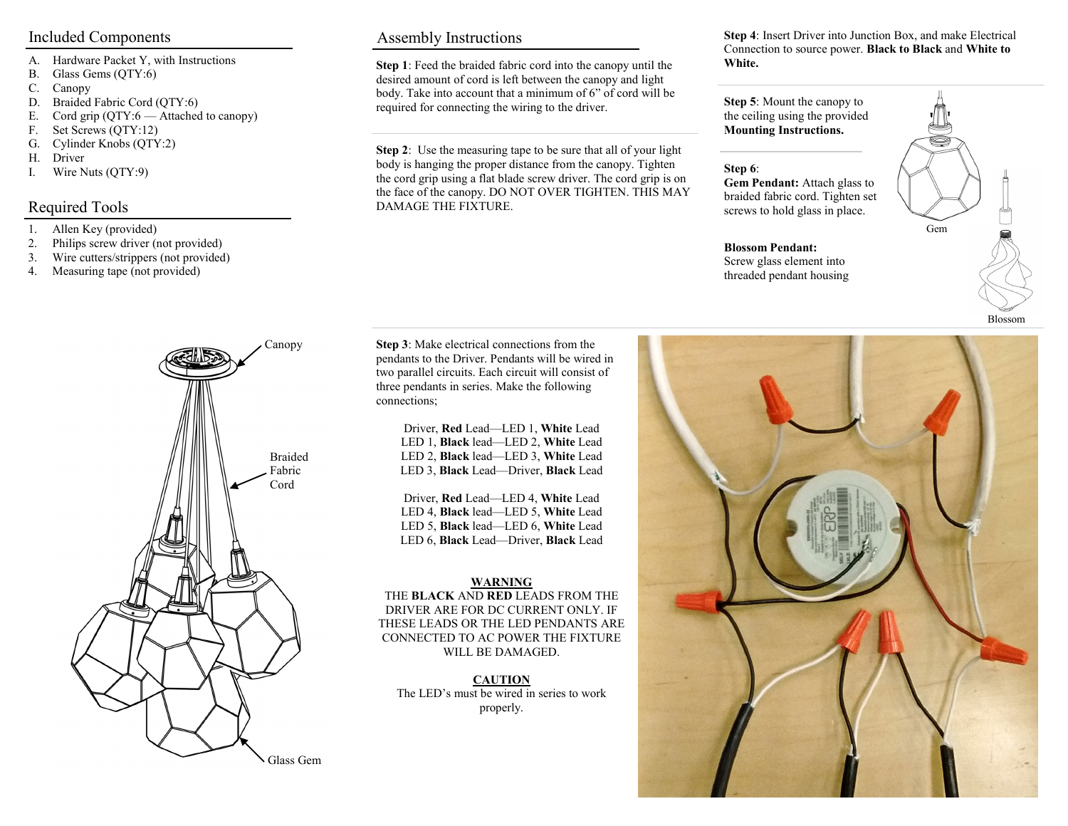- A. Hardware Packet Y, with Instructions
- B. Glass Gems (QTY:6)
- C. Canopy
- D. Braided Fabric Cord (QTY:6)
- E. Cord grip (QTY:6 Attached to canopy)
- F. Set Screws (QTY:12)
- G. Cylinder Knobs (QTY:2)
- H. Driver
- I. Wire Nuts (QTY:9)

### Required Tools

- 1. Allen Key (provided)
- 2. Philips screw driver (not provided)
- 3. Wire cutters/strippers (not provided)
- 4. Measuring tape (not provided)



Included Components Assembly Instructions

**Step 1**: Feed the braided fabric cord into the canopy until the desired amount of cord is left between the canopy and light body. Take into account that a minimum of 6" of cord will be required for connecting the wiring to the driver.

**Step 2**: Use the measuring tape to be sure that all of your light body is hanging the proper distance from the canopy. Tighten the cord grip using a flat blade screw driver. The cord grip is on the face of the canopy. DO NOT OVER TIGHTEN. THIS MAY DAMAGE THE FIXTURE.

**Step 4**: Insert Driver into Junction Box, and make Electrical Connection to source power. **Black to Black** and **White to White.**

**Step 5**: Mount the canopy to the ceiling using the provided **Mounting Instructions.** 

#### **Step 6**:

**Gem Pendant:** Attach glass to braided fabric cord. Tighten set screws to hold glass in place.





**Step 3**: Make electrical connections from the pendants to the Driver. Pendants will be wired in two parallel circuits. Each circuit will consist of three pendants in series. Make the following connections;

> Driver, **Red** Lead—LED 1, **White** Lead LED 1, **Black** lead—LED 2, **White** Lead LED 2, **Black** lead—LED 3, **White** Lead LED 3, **Black** Lead—Driver, **Black** Lead

Driver, **Red** Lead—LED 4, **White** Lead LED 4, **Black** lead—LED 5, **White** Lead LED 5, **Black** lead—LED 6, **White** Lead LED 6, **Black** Lead—Driver, **Black** Lead

#### **WARNING**

THE **BLACK** AND **RED** LEADS FROM THE DRIVER ARE FOR DC CURRENT ONLY. IF THESE LEADS OR THE LED PENDANTS ARE CONNECTED TO AC POWER THE FIXTURE WILL BE DAMAGED.

**CAUTION** The LED's must be wired in series to work properly.



Glass Gem